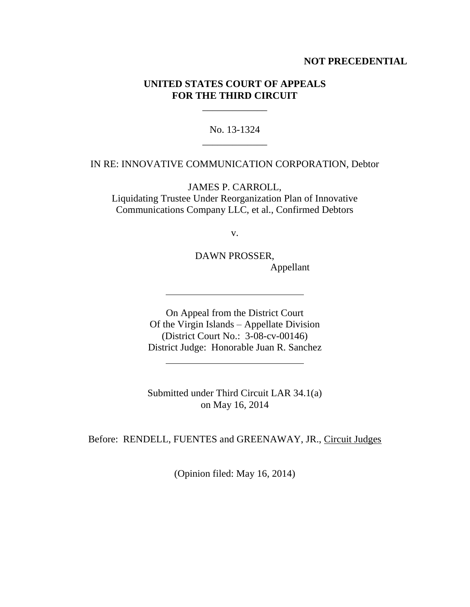## **NOT PRECEDENTIAL**

# **UNITED STATES COURT OF APPEALS FOR THE THIRD CIRCUIT**

\_\_\_\_\_\_\_\_\_\_\_\_\_

No. 13-1324 \_\_\_\_\_\_\_\_\_\_\_\_\_

#### IN RE: INNOVATIVE COMMUNICATION CORPORATION, Debtor

JAMES P. CARROLL, Liquidating Trustee Under Reorganization Plan of Innovative Communications Company LLC, et al., Confirmed Debtors

v.

DAWN PROSSER, Appellant

On Appeal from the District Court Of the Virgin Islands – Appellate Division (District Court No.: 3-08-cv-00146) District Judge: Honorable Juan R. Sanchez

Submitted under Third Circuit LAR 34.1(a) on May 16, 2014

Before: RENDELL, FUENTES and GREENAWAY, JR., Circuit Judges

(Opinion filed: May 16, 2014)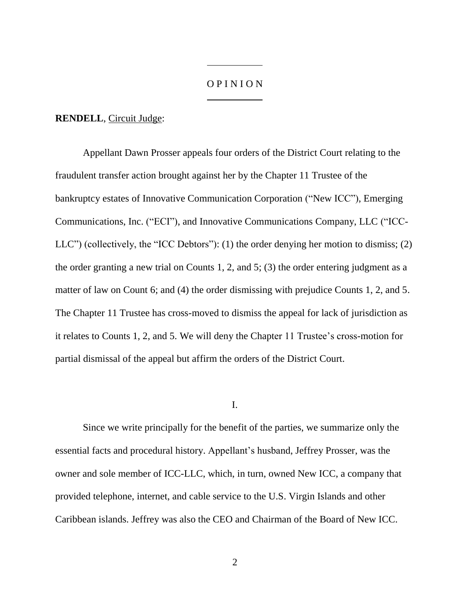## O P I N I O N

#### **RENDELL**, Circuit Judge:

Appellant Dawn Prosser appeals four orders of the District Court relating to the fraudulent transfer action brought against her by the Chapter 11 Trustee of the bankruptcy estates of Innovative Communication Corporation ("New ICC"), Emerging Communications, Inc. ("ECI"), and Innovative Communications Company, LLC ("ICC-LLC") (collectively, the "ICC Debtors"): (1) the order denying her motion to dismiss; (2) the order granting a new trial on Counts 1, 2, and 5; (3) the order entering judgment as a matter of law on Count 6; and (4) the order dismissing with prejudice Counts 1, 2, and 5. The Chapter 11 Trustee has cross-moved to dismiss the appeal for lack of jurisdiction as it relates to Counts 1, 2, and 5. We will deny the Chapter 11 Trustee's cross-motion for partial dismissal of the appeal but affirm the orders of the District Court.

I.

Since we write principally for the benefit of the parties, we summarize only the essential facts and procedural history. Appellant's husband, Jeffrey Prosser, was the owner and sole member of ICC-LLC, which, in turn, owned New ICC, a company that provided telephone, internet, and cable service to the U.S. Virgin Islands and other Caribbean islands. Jeffrey was also the CEO and Chairman of the Board of New ICC.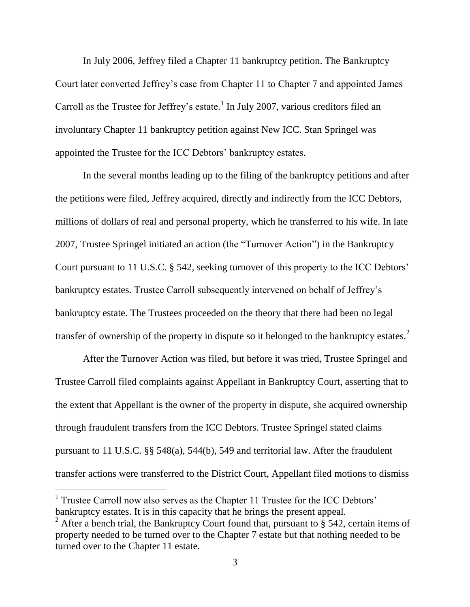In July 2006, Jeffrey filed a Chapter 11 bankruptcy petition. The Bankruptcy Court later converted Jeffrey's case from Chapter 11 to Chapter 7 and appointed James Carroll as the Trustee for Jeffrey's estate.<sup>1</sup> In July 2007, various creditors filed an involuntary Chapter 11 bankruptcy petition against New ICC. Stan Springel was appointed the Trustee for the ICC Debtors' bankruptcy estates.

In the several months leading up to the filing of the bankruptcy petitions and after the petitions were filed, Jeffrey acquired, directly and indirectly from the ICC Debtors, millions of dollars of real and personal property, which he transferred to his wife. In late 2007, Trustee Springel initiated an action (the "Turnover Action") in the Bankruptcy Court pursuant to 11 U.S.C. § 542, seeking turnover of this property to the ICC Debtors' bankruptcy estates. Trustee Carroll subsequently intervened on behalf of Jeffrey's bankruptcy estate. The Trustees proceeded on the theory that there had been no legal transfer of ownership of the property in dispute so it belonged to the bankruptcy estates.<sup>2</sup>

After the Turnover Action was filed, but before it was tried, Trustee Springel and Trustee Carroll filed complaints against Appellant in Bankruptcy Court, asserting that to the extent that Appellant is the owner of the property in dispute, she acquired ownership through fraudulent transfers from the ICC Debtors. Trustee Springel stated claims pursuant to 11 U.S.C. §§ 548(a), 544(b), 549 and territorial law. After the fraudulent transfer actions were transferred to the District Court, Appellant filed motions to dismiss

<sup>&</sup>lt;sup>1</sup> Trustee Carroll now also serves as the Chapter 11 Trustee for the ICC Debtors' bankruptcy estates. It is in this capacity that he brings the present appeal.

<sup>&</sup>lt;sup>2</sup> After a bench trial, the Bankruptcy Court found that, pursuant to § 542, certain items of property needed to be turned over to the Chapter 7 estate but that nothing needed to be turned over to the Chapter 11 estate.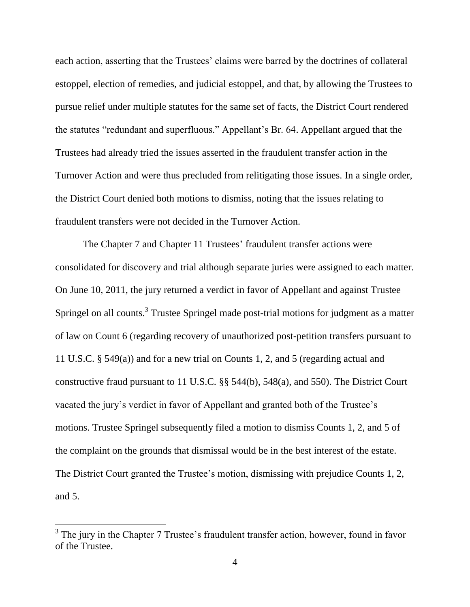each action, asserting that the Trustees' claims were barred by the doctrines of collateral estoppel, election of remedies, and judicial estoppel, and that, by allowing the Trustees to pursue relief under multiple statutes for the same set of facts, the District Court rendered the statutes "redundant and superfluous." Appellant's Br. 64. Appellant argued that the Trustees had already tried the issues asserted in the fraudulent transfer action in the Turnover Action and were thus precluded from relitigating those issues. In a single order, the District Court denied both motions to dismiss, noting that the issues relating to fraudulent transfers were not decided in the Turnover Action.

The Chapter 7 and Chapter 11 Trustees' fraudulent transfer actions were consolidated for discovery and trial although separate juries were assigned to each matter. On June 10, 2011, the jury returned a verdict in favor of Appellant and against Trustee Springel on all counts.<sup>3</sup> Trustee Springel made post-trial motions for judgment as a matter of law on Count 6 (regarding recovery of unauthorized post-petition transfers pursuant to 11 U.S.C. § 549(a)) and for a new trial on Counts 1, 2, and 5 (regarding actual and constructive fraud pursuant to 11 U.S.C. §§ 544(b), 548(a), and 550). The District Court vacated the jury's verdict in favor of Appellant and granted both of the Trustee's motions. Trustee Springel subsequently filed a motion to dismiss Counts 1, 2, and 5 of the complaint on the grounds that dismissal would be in the best interest of the estate. The District Court granted the Trustee's motion, dismissing with prejudice Counts 1, 2, and 5.

 $\overline{a}$ 

 $3$  The jury in the Chapter 7 Trustee's fraudulent transfer action, however, found in favor of the Trustee.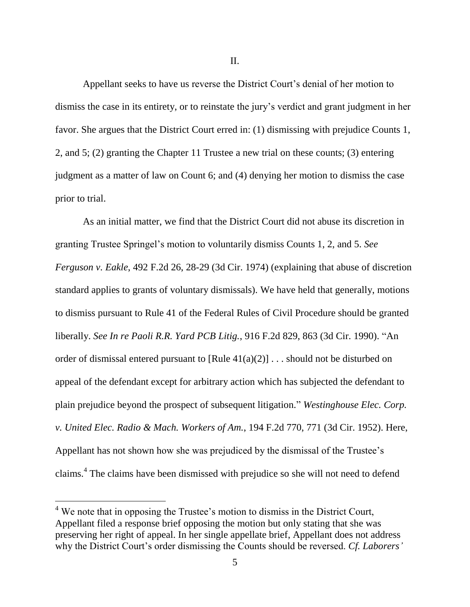II.

Appellant seeks to have us reverse the District Court's denial of her motion to dismiss the case in its entirety, or to reinstate the jury's verdict and grant judgment in her favor. She argues that the District Court erred in: (1) dismissing with prejudice Counts 1, 2, and 5; (2) granting the Chapter 11 Trustee a new trial on these counts; (3) entering judgment as a matter of law on Count 6; and (4) denying her motion to dismiss the case prior to trial.

As an initial matter, we find that the District Court did not abuse its discretion in granting Trustee Springel's motion to voluntarily dismiss Counts 1, 2, and 5. *See Ferguson v. Eakle*, 492 F.2d 26, 28-29 (3d Cir. 1974) (explaining that abuse of discretion standard applies to grants of voluntary dismissals). We have held that generally, motions to dismiss pursuant to Rule 41 of the Federal Rules of Civil Procedure should be granted liberally. *See In re Paoli R.R. Yard PCB Litig.*, 916 F.2d 829, 863 (3d Cir. 1990). "An order of dismissal entered pursuant to  $[Rule 41(a)(2)] \dots$  should not be disturbed on appeal of the defendant except for arbitrary action which has subjected the defendant to plain prejudice beyond the prospect of subsequent litigation." *Westinghouse Elec. Corp. v. United Elec. Radio & Mach. Workers of Am.*, 194 F.2d 770, 771 (3d Cir. 1952). Here, Appellant has not shown how she was prejudiced by the dismissal of the Trustee's claims.<sup>4</sup> The claims have been dismissed with prejudice so she will not need to defend

 $4$  We note that in opposing the Trustee's motion to dismiss in the District Court, Appellant filed a response brief opposing the motion but only stating that she was preserving her right of appeal. In her single appellate brief, Appellant does not address why the District Court's order dismissing the Counts should be reversed. *Cf. Laborers'*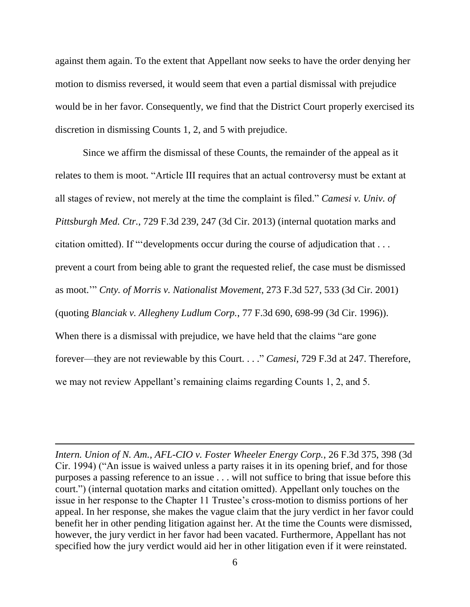against them again. To the extent that Appellant now seeks to have the order denying her motion to dismiss reversed, it would seem that even a partial dismissal with prejudice would be in her favor. Consequently, we find that the District Court properly exercised its discretion in dismissing Counts 1, 2, and 5 with prejudice.

Since we affirm the dismissal of these Counts, the remainder of the appeal as it relates to them is moot. "Article III requires that an actual controversy must be extant at all stages of review, not merely at the time the complaint is filed." *Camesi v. Univ. of Pittsburgh Med. Ctr.*, 729 F.3d 239, 247 (3d Cir. 2013) (internal quotation marks and citation omitted). If "'developments occur during the course of adjudication that . . . prevent a court from being able to grant the requested relief, the case must be dismissed as moot.'" *Cnty. of Morris v. Nationalist Movement*, 273 F.3d 527, 533 (3d Cir. 2001) (quoting *Blanciak v. Allegheny Ludlum Corp.*, 77 F.3d 690, 698-99 (3d Cir. 1996)). When there is a dismissal with prejudice, we have held that the claims "are gone" forever—they are not reviewable by this Court. . . ." *Camesi*, 729 F.3d at 247. Therefore, we may not review Appellant's remaining claims regarding Counts 1, 2, and 5.

*Intern. Union of N. Am., AFL-CIO v. Foster Wheeler Energy Corp.*, 26 F.3d 375, 398 (3d Cir. 1994) ("An issue is waived unless a party raises it in its opening brief, and for those purposes a passing reference to an issue . . . will not suffice to bring that issue before this court.") (internal quotation marks and citation omitted). Appellant only touches on the issue in her response to the Chapter 11 Trustee's cross-motion to dismiss portions of her appeal. In her response, she makes the vague claim that the jury verdict in her favor could benefit her in other pending litigation against her. At the time the Counts were dismissed, however, the jury verdict in her favor had been vacated. Furthermore, Appellant has not specified how the jury verdict would aid her in other litigation even if it were reinstated.

 $\overline{a}$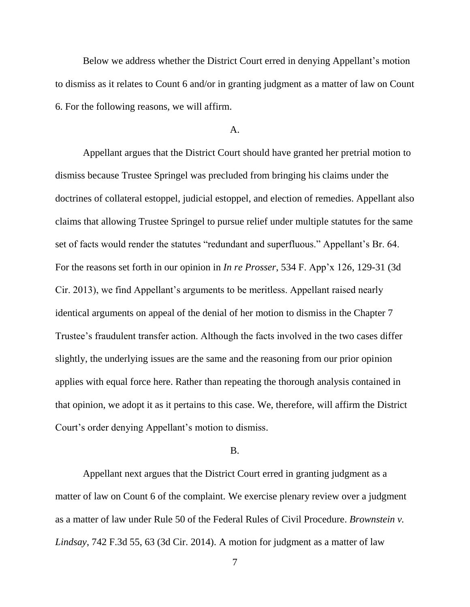Below we address whether the District Court erred in denying Appellant's motion to dismiss as it relates to Count 6 and/or in granting judgment as a matter of law on Count 6. For the following reasons, we will affirm.

#### A.

Appellant argues that the District Court should have granted her pretrial motion to dismiss because Trustee Springel was precluded from bringing his claims under the doctrines of collateral estoppel, judicial estoppel, and election of remedies. Appellant also claims that allowing Trustee Springel to pursue relief under multiple statutes for the same set of facts would render the statutes "redundant and superfluous." Appellant's Br. 64. For the reasons set forth in our opinion in *In re Prosser*, 534 F. App'x 126, 129-31 (3d Cir. 2013), we find Appellant's arguments to be meritless. Appellant raised nearly identical arguments on appeal of the denial of her motion to dismiss in the Chapter 7 Trustee's fraudulent transfer action. Although the facts involved in the two cases differ slightly, the underlying issues are the same and the reasoning from our prior opinion applies with equal force here. Rather than repeating the thorough analysis contained in that opinion, we adopt it as it pertains to this case. We, therefore, will affirm the District Court's order denying Appellant's motion to dismiss.

## B.

Appellant next argues that the District Court erred in granting judgment as a matter of law on Count 6 of the complaint. We exercise plenary review over a judgment as a matter of law under Rule 50 of the Federal Rules of Civil Procedure. *Brownstein v. Lindsay*, 742 F.3d 55, 63 (3d Cir. 2014). A motion for judgment as a matter of law

7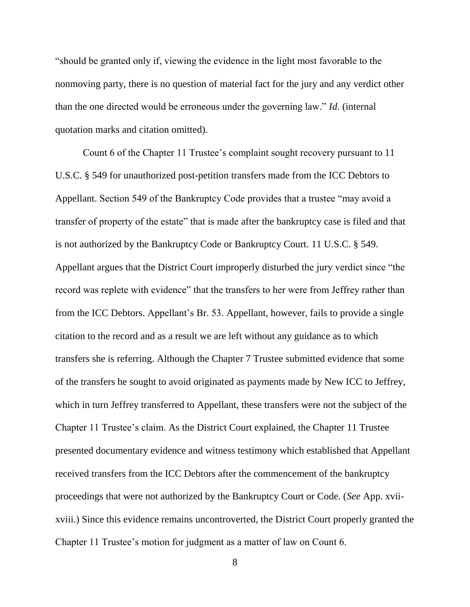"should be granted only if, viewing the evidence in the light most favorable to the nonmoving party, there is no question of material fact for the jury and any verdict other than the one directed would be erroneous under the governing law." *Id.* (internal quotation marks and citation omitted).

Count 6 of the Chapter 11 Trustee's complaint sought recovery pursuant to 11 U.S.C. § 549 for unauthorized post-petition transfers made from the ICC Debtors to Appellant. Section 549 of the Bankruptcy Code provides that a trustee "may avoid a transfer of property of the estate" that is made after the bankruptcy case is filed and that is not authorized by the Bankruptcy Code or Bankruptcy Court. 11 U.S.C. § 549. Appellant argues that the District Court improperly disturbed the jury verdict since "the record was replete with evidence" that the transfers to her were from Jeffrey rather than from the ICC Debtors. Appellant's Br. 53. Appellant, however, fails to provide a single citation to the record and as a result we are left without any guidance as to which transfers she is referring. Although the Chapter 7 Trustee submitted evidence that some of the transfers he sought to avoid originated as payments made by New ICC to Jeffrey, which in turn Jeffrey transferred to Appellant, these transfers were not the subject of the Chapter 11 Trustee's claim. As the District Court explained, the Chapter 11 Trustee presented documentary evidence and witness testimony which established that Appellant received transfers from the ICC Debtors after the commencement of the bankruptcy proceedings that were not authorized by the Bankruptcy Court or Code. (*See* App. xviixviii.) Since this evidence remains uncontroverted, the District Court properly granted the Chapter 11 Trustee's motion for judgment as a matter of law on Count 6.